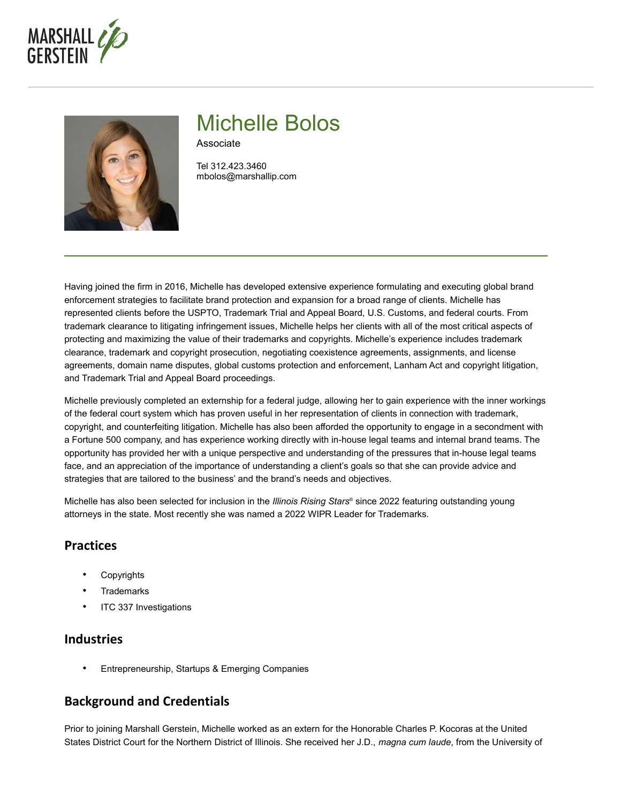



# Michelle Bolos

Associate

Tel 312.423.3460 mbolos@marshallip.com

Having joined the firm in 2016, Michelle has developed extensive experience formulating and executing global brand enforcement strategies to facilitate brand protection and expansion for a broad range of clients. Michelle has represented clients before the USPTO, Trademark Trial and Appeal Board, U.S. Customs, and federal courts. From trademark clearance to litigating infringement issues, Michelle helps her clients with all of the most critical aspects of protecting and maximizing the value of their trademarks and copyrights. Michelle's experience includes trademark clearance, trademark and copyright prosecution, negotiating coexistence agreements, assignments, and license agreements, domain name disputes, global customs protection and enforcement, Lanham Act and copyright litigation, and Trademark Trial and Appeal Board proceedings.

Michelle previously completed an externship for a federal judge, allowing her to gain experience with the inner workings of the federal court system which has proven useful in her representation of clients in connection with trademark, copyright, and counterfeiting litigation. Michelle has also been afforded the opportunity to engage in a secondment with a Fortune 500 company, and has experience working directly with in-house legal teams and internal brand teams. The opportunity has provided her with a unique perspective and understanding of the pressures that in-house legal teams face, and an appreciation of the importance of understanding a client's goals so that she can provide advice and strategies that are tailored to the business' and the brand's needs and objectives.

Michelle has also been selected for inclusion in the *Illinois Rising Stars*® since 2022 featuring outstanding young attorneys in the state. Most recently she was named a 2022 WIPR Leader for Trademarks.

## **Practices**

- **Copyrights**
- **Trademarks**
- ITC 337 Investigations

## **Industries**

• Entrepreneurship, Startups & Emerging Companies

## **Background and Credentials**

Prior to joining Marshall Gerstein, Michelle worked as an extern for the Honorable Charles P. Kocoras at the United States District Court for the Northern District of Illinois. She received her J.D., *magna cum laude*, from the University of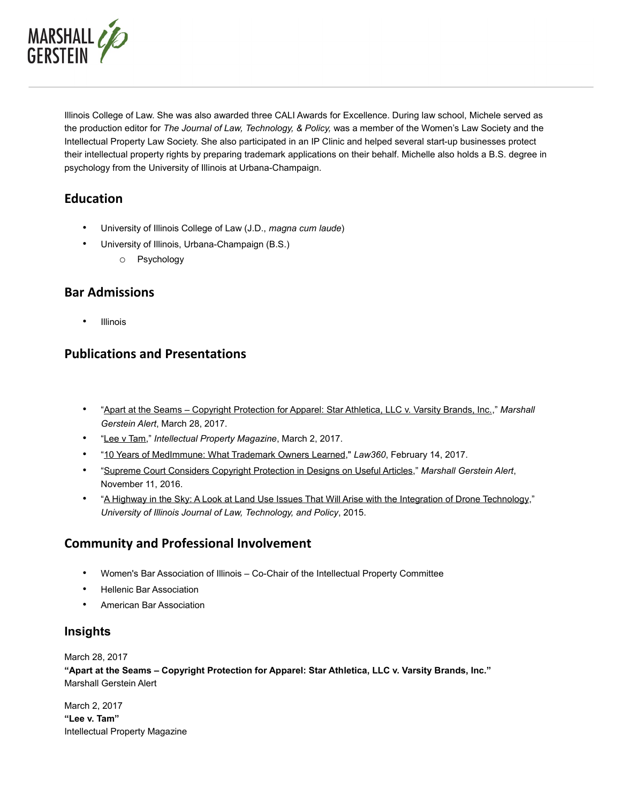

Illinois College of Law. She was also awarded three CALI Awards for Excellence. During law school, Michele served as the production editor for *The Journal of Law, Technology, & Policy,* was a member of the Women's Law Society and the Intellectual Property Law Society. She also participated in an IP Clinic and helped several start-up businesses protect their intellectual property rights by preparing trademark applications on their behalf. Michelle also holds a B.S. degree in psychology from the University of Illinois at Urbana-Champaign.

## **Education**

- University of Illinois College of Law (J.D., *magna cum laude*)
- University of Illinois, Urbana-Champaign (B.S.)
	- o Psychology

## **Bar Admissions**

**Illinois** 

## **Publications and Presentations**

- ["Apart at the Seams Copyright Protection for Apparel: Star Athletica, LLC v. Varsity Brands, Inc.,](http://www.marshallip.com/publications/apart-at-the-seams-copyright-protection-for-apparel-star-athletica-llc-v-varsity-brands-inc/)" *Marshall Gerstein Alert*, March 28, 2017.
- ["Lee v Tam,](http://www.intellectualpropertymagazine.com/trademark/lee-v-tam-122709.htm)" *Intellectual Property Magazine*, March 2, 2017.
- ["10 Years of MedImmune: What Trademark Owners Learned,](https://www.marshallip.com/content/uploads/2017/02/MGB_Griffith_Bolos_10-Years-Of-MedImmune.pdf)" *Law360*, February 14, 2017.
- ["Supreme Court Considers Copyright Protection in Designs on Useful Articles,](http://www.marshallip.com/publications/supreme-court-considers-copyright-protection-in-designs-on-useful-articles/)" *Marshall Gerstein Alert*, November 11, 2016.
- ["A Highway in the Sky: A Look at Land Use Issues That Will Arise with the Integration of Drone Technology,](http://illinoisjltp.com/journal/wp-content/uploads/2015/12/Bolos.pdf)" *University of Illinois Journal of Law, Technology, and Policy*, 2015.

## **Community and Professional Involvement**

- Women's Bar Association of Illinois Co-Chair of the Intellectual Property Committee
- Hellenic Bar Association
- American Bar Association

#### **Insights**

March 28, 2017

**"Apart at the Seams – Copyright Protection for Apparel: Star Athletica, LLC v. Varsity Brands, Inc."** Marshall Gerstein Alert

March 2, 2017 **"Lee v. Tam"** Intellectual Property Magazine